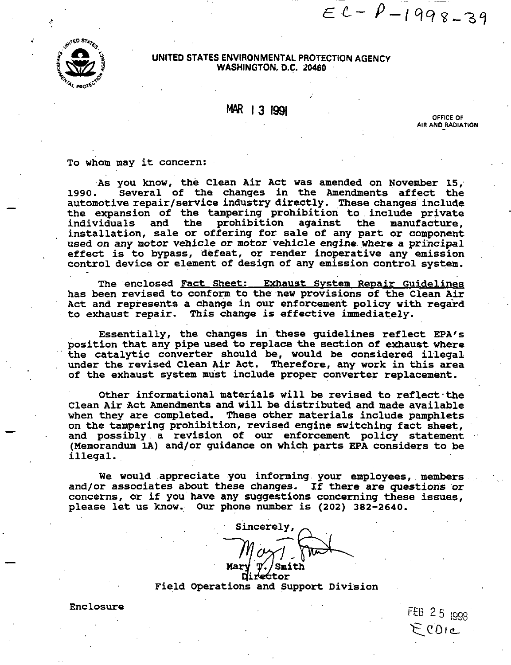**ATED STAY** 

**UNITED STATES ENVIRONMENTAL PROTECTION AGENCY WASHINGTON, D.C. 20460** 

# **MAR 1 3 1991** OFFICE OF

**AIR AND RADIATION** 

FEB 25 1998  $E(0)$ 

 $EC-P-1998-39$ 

**To whom may it concern:** 

**As you know, the Clean Air Act was amended on November 15, 1990. Several of the changes in the Amendments affect the**  automotive repair/service industry directly. These changes include **the expansion of the tampering prohibition to include private**  individuals and the prohibition against the **installation, sale or offering for sale of any part or component used on any motor vehicle or motor vehicle engine where a principal effect is to bypass, defeat, or render inoperative any emission control device or element of design of any emission control system.** 

The enclosed Fact Sheet: Exhaust System Repair Guidelines **has been revised to Conform to the new provisions of the Clean Air Act and represents a change in our enforcement policy with regard to exhaust repair. This change is effective immediately.** 

**Essentially, the changes in these guidelines reflect EPA'S position that any pipe used to replace the section of exhaust where the catalytic converter should be, would be considered illegal under the revised Clean Air Act. Therefore, any work in this area of the exhaust system must include proper converter replacement.** 

**Other informational materials will be revised to reflect-the Clean Air Act Amendments and will be distributed and made available when they are completed. These other materials include pamphlets on the tampering prohibition, revised engine switching fact sheet, and possibly a revision of our enforcement policy statement**  (Memorandum 1A) and/or quidance on which parts EPA considers to be **illegal.** 

**We would appreciate you informing your employees, members and/or associates about these changes. If there are questions or concerns, or if you have any suggestions concerning these issues, please let us know. Our phone number is (202) 382-2640.** 

Sincerely, Mar ettor

**Field Operations and Support Division** 

**Enclosure** 

-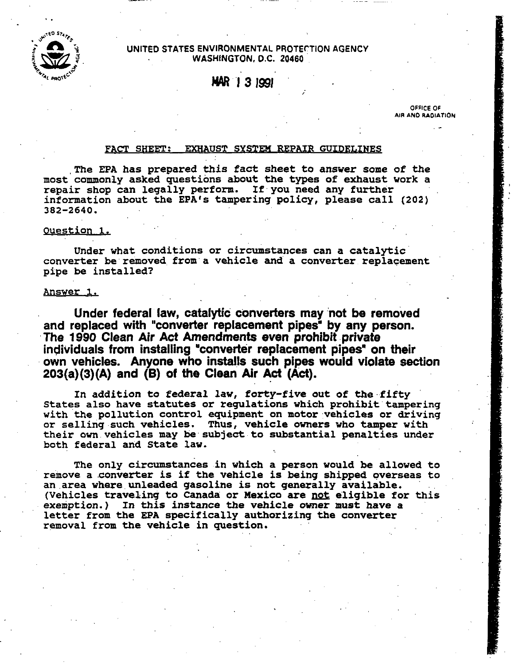

## UNITED STATES ENVIRONMENTAL PROTECTION AGENCY **WASHINGTON. O.C. 20460**

)IIAR **I3** *1991* 

**OFFICE OF AIR AND RADIATION** 

-

# **FACT SHEET: EXHAUST SYSTEM REPAIR GUIDELINES**

**The €PA has prepared this fact sheet to answer some of the most commonly asked questions about the types of exhaust work a repair shop can legally perform. If you need any further information about the EPA's tampering policy, please call (202) 382-2640.** 

## **9uestion 1.**

**Under what conditions or circumstances can a catalytic converter be removed from a vehicle and a converter replacement pipe be installed?** 

### **answer 1.**

**Under federal law, catalytic converters may not be removed and replaced with "converter replacement pipes' by any person. The** *1990* **Clean Air Act Amendments even prohibit private individuals from installing "converter replacement pipes" on their own vehicles. Anyone who installs such pipes would violate section 203(a)(3)(A) and (B) of the Clean Air Act** *(Act).* 

**In addition to federal law, forty-five out of the fifty States also have statutes or regulations which prohibit tampering with the pollution control equipment on motor vehicles or driving or selling such vehicles. Thus, vehicle owners who tamper with their own vehicles may be subject to substantial penalties under both federal and State law.** 

**The only circumstances in which a person would be allowed to remove a converter is if the vehicle is being shipped overseas to an area where unleaded gasoline is not generally available.**  (Vehicles traveling to Canada or Mexico are not eligible for this **exemption.) In this instance the vehicle owner must have a letter from the EPA specifically authorizing the converter removal from the vehicle in question.**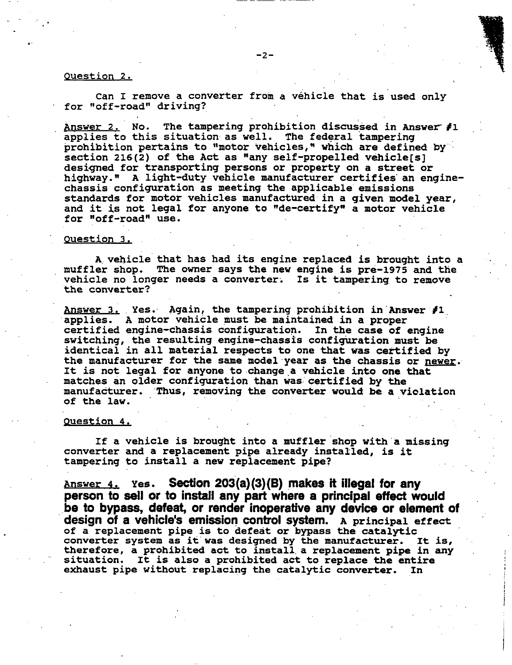## **Question 2.**

**can I remove a converter from a vehicle that is'used only**  ' **for "off-road" driving?** 

Answer 2. No. The tampering prohibition discussed in Answer  $f1$ **applies to this situation as well. -he federal tampering prohibition pertains to "motor vehicles," which are defined by section 216(2) of the Act as "any self-propelled vehicle[s] designed for transporting persons or property on a street or highway." A light-duty vehicle manufacturer certifies an enginechassis configuration as meeting the applicable emissions standards for motor vehicles manufactured in a given model year, and it is not legal for anyone to "de-certify" a motor vehicle for "off -road" use.** 

#### **Question 3,**

**muffler shop. The owner says the new engine is pre-1975 and the vehicle no longer needs a converter. Is it tampering to remove the converter? A vehicle that has had its engine replaced is brought into a** 

**Answer 3. Yes. Again, the tampering prohibition in Answer fl applies. A motor vehicle must be maintained in a proper certified engine-chassis configuration. In the case of engine switching, the resulting engine-chassis configuration must be identical in all material respects to one that was certified by the manufacturer for the same model year as the chassis or newer. It is not legal for anyone to change a vehicle into one that matches an older configuration than was certified by the manufacturer. Thus, removing the converter would be a viclation of the law.** 

#### **Question 4.**

**converter and a replacement pipe already installed, is it tampering to install a new replacement pipe? If a vehicle is brought into a muffler shop with a missing** 

**Answer 4. Yes. Section 203(a)(3)(8) makes it illegal for any person to sell or to install any part where a principal effect would be to bypass, defeat, or render inoperative any device or element of design of a vehicle's emission control system. A principal effect of a replacement pipe is to defeat or bypass the catalytic converter system as it was designed by the manufacturer. It is, therefore. a prohibited act to install a replacement pipe in any situation. It is also a prohibited act to replace the entire exhaust pipe without replacing the catalytic converter. In** ..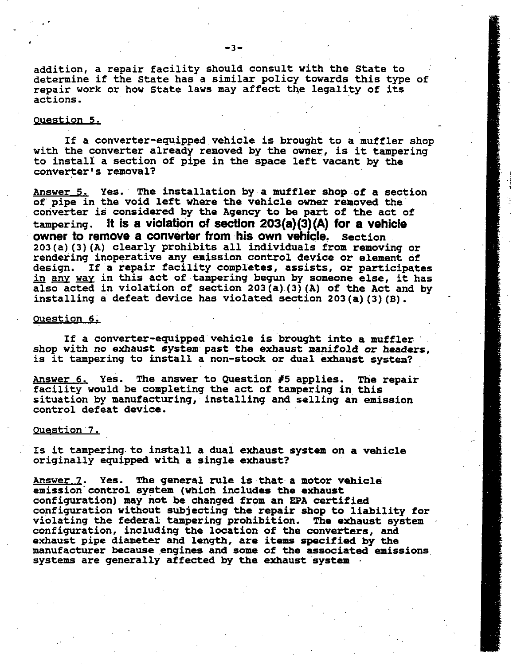**addition, a repair facility should consult with the State to determine if the State has a similar policy towards this type of repair work or how State laws may affect the legality of its actions.** 

#### **guestion 5.**

**with the converter already removed by the owner, is it tampering to install a section of pipe in the space left vacant by the converter's removal? If a converter-equipped vehicle is brought to a muffler shop** 

**Answer 5. Yes. The installation by a muffler shop of a section of pipe in the void left where the vehicle owner removed the converter is considered by the Agency to be part of the act of tampering. It is a violation of section 203(a)(3)(A) for a vehicle owner to remove a converter from his own vehicle. Section 203(a)(3)(A) clearly prohibits all individuals from removing or rendering inoperative any emission control device or element of design. If a repair facility completes, assists, or participates**  203(a)(3)(A) clearly prohibits all individuals from removing or<br>rendering inoperative any emission control device or element of<br>design. If a repair facility completes, assists, or participates<br>in <u>any way</u> in this act of t **also acted in violation of section 203(a)(3)(A) of the Act and by installing a defeat device has violated section 203(a)(3)(B).** 

#### **Question 6.**

**If a converter-equipped vehicle is brought into a muffler shop with no exhaust system past the exhaust manifold or headers, is it tampering to install a non-stock or dual exhaust system?** 

**Answer 6, Yes. The answer to Question** *#5* **applies. The repair facility would be completing the act of tampering in this situation by manufacturing, installing and selling an emission control defeat device.** 

#### **Question** *7,*

**Is it tampering to install a dual exhaust system on a vehicle originally equipped with a single exhaust?** 

**Answer** z. **Yes. The general rule is that a motor vehicle emission control system (which includes the exhaust configuration) may not be changed from an EPA certified configuration without subjecting the repair shop to liability for violating the federal tampering prohibition. The exhaust system configuration, including the location of the converters, and exhaust pipe diameter and length, are items specified by the**  manufacturer because engines and some of the associated emissions **systems are generally affected by the exhaust system**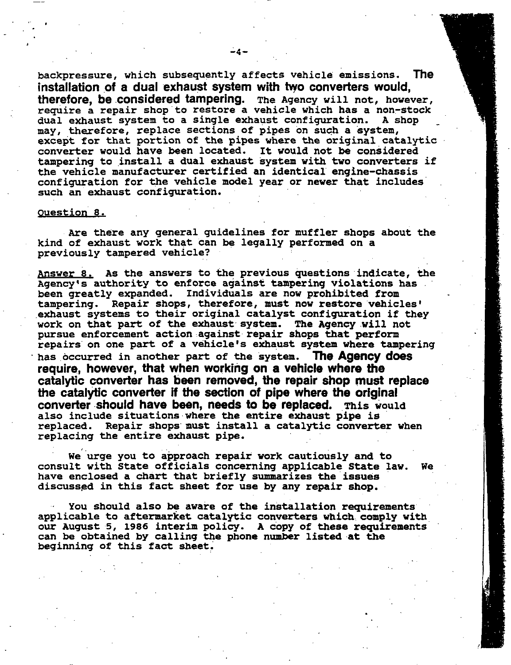**backpressure, which subsequently affects vehicle emissions. The installation of a dual exhaust system with hyo converters would, therefore, be considered tampering. The Agency will not, however, require a repair shop to restore a vehicle which has a non-stock**  dual exhaust system to a single exhaust configuration. **may, therefore, replace sections of pipes on such a system, except for that portion of the pipes where the original catalytic converter would have been located. It would not be considered tampering to install a dual exhaust system with tvo converters if the vehicle manufacturer certified an identical engine-chassis configuration for the vehicle model year or newer that includes such an exhaust configuration.** 

**-4-** 

#### **Question 8.**

**kind of exhaust work that can be legally performed on a previously tampered vehicle? Are there any general guidelines for muffler shops about the** 

**Answer 8. As the answers to the previous questions indicate, the Agency's authority to enforce against tampering violations has been greatly expanded. Individuals are now prohibited from tampering. Repair shops, therefore, must now restore vehicles' exhaust systems to their original catalyst configuration if they work on that part of the exhaust system. The Agency will not pursue enforcement action against repair shops that perform repairs on one part of a vehicle's exhaust system where tampering**  . **has occurred in another part of the system. The Agency does require, however, that when working on a vehicle where the catalytic converter has been removed, the repair shop must replace the catalytic converter** if **the section of pipe where the original converter should have been, needs to be replaced. This would also include situations where the entire exhaust pipe is replaced. Repair shops must install a catalytic converter when replacing the entire exhaust pipe.** 

**consult with State officials concerning applicable State law. We have enclosed a chart that briefly summarizes the issues discussed in this fact sheet for use by any repair shop. We' urge you to approach repair work cautiously and to** 

**applicable to aftermarket catalytic converters which comply with our August 5, 1986 interim policy. A copy of these requirements can be obtained by calling the phone number listed at the beginning of this fact sheet. You should also be aware of the installation requirements**